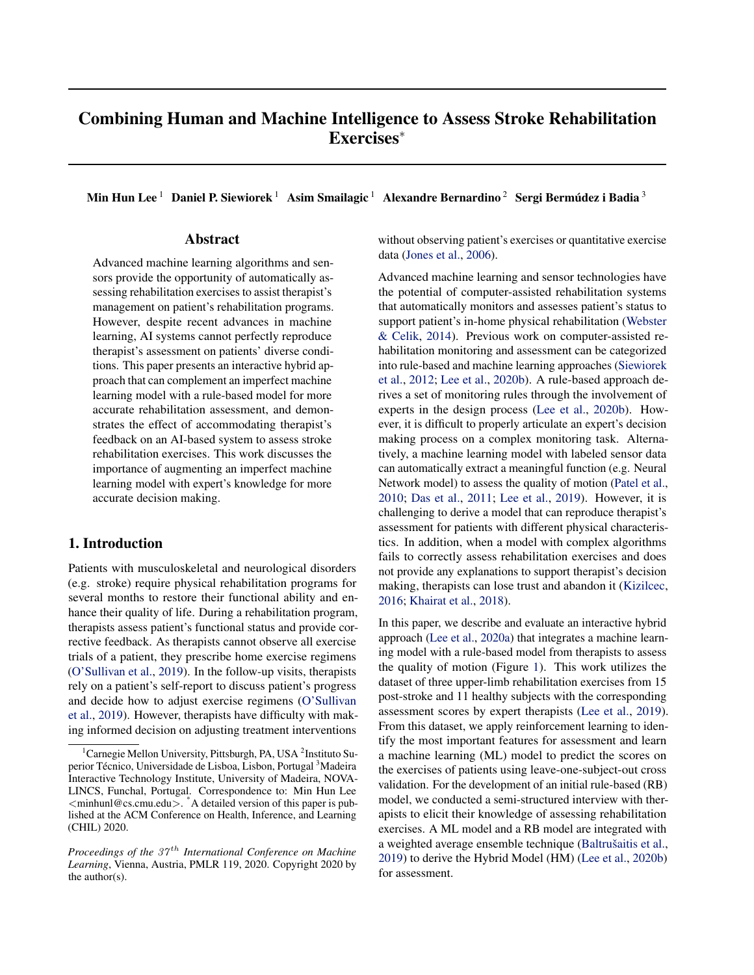# Combining Human and Machine Intelligence to Assess Stroke Rehabilitation Exercises<sup>∗</sup>

Min Hun Lee  $^1\;$  Daniel P. Siewiorek  $^1\;$  Asim Smailagic  $^1\;$  Alexandre Bernardino  $^2\;$  Sergi Bermúdez i Badia  $^3\;$ 

## Abstract

Advanced machine learning algorithms and sensors provide the opportunity of automatically assessing rehabilitation exercises to assist therapist's management on patient's rehabilitation programs. However, despite recent advances in machine learning, AI systems cannot perfectly reproduce therapist's assessment on patients' diverse conditions. This paper presents an interactive hybrid approach that can complement an imperfect machine learning model with a rule-based model for more accurate rehabilitation assessment, and demonstrates the effect of accommodating therapist's feedback on an AI-based system to assess stroke rehabilitation exercises. This work discusses the importance of augmenting an imperfect machine learning model with expert's knowledge for more accurate decision making.

## 1. Introduction

Patients with musculoskeletal and neurological disorders (e.g. stroke) require physical rehabilitation programs for several months to restore their functional ability and enhance their quality of life. During a rehabilitation program, therapists assess patient's functional status and provide corrective feedback. As therapists cannot observe all exercise trials of a patient, they prescribe home exercise regimens [\(O'Sullivan et al.,](#page-8-0) [2019\)](#page-8-0). In the follow-up visits, therapists rely on a patient's self-report to discuss patient's progress and decide how to adjust exercise regimens [\(O'Sullivan](#page-8-0) [et al.,](#page-8-0) [2019\)](#page-8-0). However, therapists have difficulty with making informed decision on adjusting treatment interventions

without observing patient's exercises or quantitative exercise data [\(Jones et al.,](#page-8-0) [2006\)](#page-8-0).

Advanced machine learning and sensor technologies have the potential of computer-assisted rehabilitation systems that automatically monitors and assesses patient's status to support patient's in-home physical rehabilitation [\(Webster](#page-8-0) [& Celik,](#page-8-0) [2014\)](#page-8-0). Previous work on computer-assisted rehabilitation monitoring and assessment can be categorized into rule-based and machine learning approaches [\(Siewiorek](#page-8-0) [et al.,](#page-8-0) [2012;](#page-8-0) [Lee et al.,](#page-8-0) [2020b\)](#page-8-0). A rule-based approach derives a set of monitoring rules through the involvement of experts in the design process [\(Lee et al.,](#page-8-0) [2020b\)](#page-8-0). However, it is difficult to properly articulate an expert's decision making process on a complex monitoring task. Alternatively, a machine learning model with labeled sensor data can automatically extract a meaningful function (e.g. Neural Network model) to assess the quality of motion [\(Patel et al.,](#page-8-0) [2010;](#page-8-0) [Das et al.,](#page-7-0) [2011;](#page-7-0) [Lee et al.,](#page-8-0) [2019\)](#page-8-0). However, it is challenging to derive a model that can reproduce therapist's assessment for patients with different physical characteristics. In addition, when a model with complex algorithms fails to correctly assess rehabilitation exercises and does not provide any explanations to support therapist's decision making, therapists can lose trust and abandon it [\(Kizilcec,](#page-8-0) [2016;](#page-8-0) [Khairat et al.,](#page-8-0) [2018\)](#page-8-0).

In this paper, we describe and evaluate an interactive hybrid approach [\(Lee et al.,](#page-8-0) [2020a\)](#page-8-0) that integrates a machine learning model with a rule-based model from therapists to assess the quality of motion (Figure [1\)](#page-1-0). This work utilizes the dataset of three upper-limb rehabilitation exercises from 15 post-stroke and 11 healthy subjects with the corresponding assessment scores by expert therapists [\(Lee et al.,](#page-8-0) [2019\)](#page-8-0). From this dataset, we apply reinforcement learning to identify the most important features for assessment and learn a machine learning (ML) model to predict the scores on the exercises of patients using leave-one-subject-out cross validation. For the development of an initial rule-based (RB) model, we conducted a semi-structured interview with therapists to elicit their knowledge of assessing rehabilitation exercises. A ML model and a RB model are integrated with a weighted average ensemble technique (Baltrušaitis et al., [2019\)](#page-7-0) to derive the Hybrid Model (HM) [\(Lee et al.,](#page-8-0) [2020b\)](#page-8-0) for assessment.

<sup>&</sup>lt;sup>1</sup> Carnegie Mellon University, Pittsburgh, PA, USA<sup>2</sup> Instituto Superior Técnico, Universidade de Lisboa, Lisbon, Portugal<sup>3</sup>Madeira Interactive Technology Institute, University of Madeira, NOVA-LINCS, Funchal, Portugal. Correspondence to: Min Hun Lee <minhunl@cs.cmu.edu>. A detailed version of this paper is published at the ACM Conference on Health, Inference, and Learning (CHIL) 2020.

*Proceedings of the 37<sup>th</sup> International Conference on Machine Learning*, Vienna, Austria, PMLR 119, 2020. Copyright 2020 by the author(s).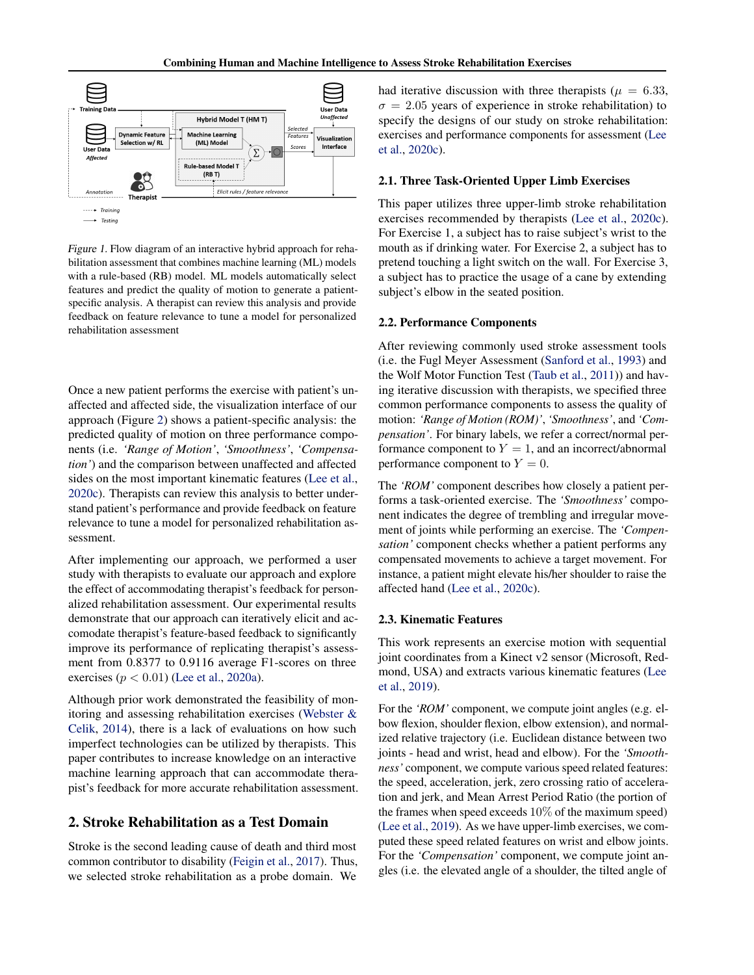<span id="page-1-0"></span>

Figure 1. Flow diagram of an interactive hybrid approach for rehabilitation assessment that combines machine learning (ML) models with a rule-based (RB) model. ML models automatically select features and predict the quality of motion to generate a patientspecific analysis. A therapist can review this analysis and provide feedback on feature relevance to tune a model for personalized rehabilitation assessment

Once a new patient performs the exercise with patient's unaffected and affected side, the visualization interface of our approach (Figure [2\)](#page-2-0) shows a patient-specific analysis: the predicted quality of motion on three performance components (i.e. *'Range of Motion'*, *'Smoothness'*, *'Compensation'*) and the comparison between unaffected and affected sides on the most important kinematic features [\(Lee et al.,](#page-8-0) [2020c\)](#page-8-0). Therapists can review this analysis to better understand patient's performance and provide feedback on feature relevance to tune a model for personalized rehabilitation assessment.

After implementing our approach, we performed a user study with therapists to evaluate our approach and explore the effect of accommodating therapist's feedback for personalized rehabilitation assessment. Our experimental results demonstrate that our approach can iteratively elicit and accomodate therapist's feature-based feedback to significantly improve its performance of replicating therapist's assessment from 0.8377 to 0.9116 average F1-scores on three exercises  $(p < 0.01)$  [\(Lee et al.,](#page-8-0) [2020a\)](#page-8-0).

Although prior work demonstrated the feasibility of monitoring and assessing rehabilitation exercises [\(Webster &](#page-8-0) [Celik,](#page-8-0) [2014\)](#page-8-0), there is a lack of evaluations on how such imperfect technologies can be utilized by therapists. This paper contributes to increase knowledge on an interactive machine learning approach that can accommodate therapist's feedback for more accurate rehabilitation assessment.

## 2. Stroke Rehabilitation as a Test Domain

Stroke is the second leading cause of death and third most common contributor to disability [\(Feigin et al.,](#page-7-0) [2017\)](#page-7-0). Thus, we selected stroke rehabilitation as a probe domain. We

had iterative discussion with three therapists ( $\mu = 6.33$ ,  $\sigma = 2.05$  years of experience in stroke rehabilitation) to specify the designs of our study on stroke rehabilitation: exercises and performance components for assessment [\(Lee](#page-8-0) [et al.,](#page-8-0) [2020c\)](#page-8-0).

#### 2.1. Three Task-Oriented Upper Limb Exercises

This paper utilizes three upper-limb stroke rehabilitation exercises recommended by therapists [\(Lee et al.,](#page-8-0) [2020c\)](#page-8-0). For Exercise 1, a subject has to raise subject's wrist to the mouth as if drinking water. For Exercise 2, a subject has to pretend touching a light switch on the wall. For Exercise 3, a subject has to practice the usage of a cane by extending subject's elbow in the seated position.

#### 2.2. Performance Components

After reviewing commonly used stroke assessment tools (i.e. the Fugl Meyer Assessment [\(Sanford et al.,](#page-8-0) [1993\)](#page-8-0) and the Wolf Motor Function Test [\(Taub et al.,](#page-8-0) [2011\)](#page-8-0)) and having iterative discussion with therapists, we specified three common performance components to assess the quality of motion: *'Range of Motion (ROM)'*, *'Smoothness'*, and *'Compensation'*. For binary labels, we refer a correct/normal performance component to  $Y = 1$ , and an incorrect/abnormal performance component to  $Y = 0$ .

The *'ROM'* component describes how closely a patient performs a task-oriented exercise. The *'Smoothness'* component indicates the degree of trembling and irregular movement of joints while performing an exercise. The *'Compensation'* component checks whether a patient performs any compensated movements to achieve a target movement. For instance, a patient might elevate his/her shoulder to raise the affected hand [\(Lee et al.,](#page-8-0) [2020c\)](#page-8-0).

#### 2.3. Kinematic Features

This work represents an exercise motion with sequential joint coordinates from a Kinect v2 sensor (Microsoft, Redmond, USA) and extracts various kinematic features [\(Lee](#page-8-0) [et al.,](#page-8-0) [2019\)](#page-8-0).

For the *'ROM'* component, we compute joint angles (e.g. elbow flexion, shoulder flexion, elbow extension), and normalized relative trajectory (i.e. Euclidean distance between two joints - head and wrist, head and elbow). For the *'Smoothness'* component, we compute various speed related features: the speed, acceleration, jerk, zero crossing ratio of acceleration and jerk, and Mean Arrest Period Ratio (the portion of the frames when speed exceeds  $10\%$  of the maximum speed) [\(Lee et al.,](#page-8-0) [2019\)](#page-8-0). As we have upper-limb exercises, we computed these speed related features on wrist and elbow joints. For the *'Compensation'* component, we compute joint angles (i.e. the elevated angle of a shoulder, the tilted angle of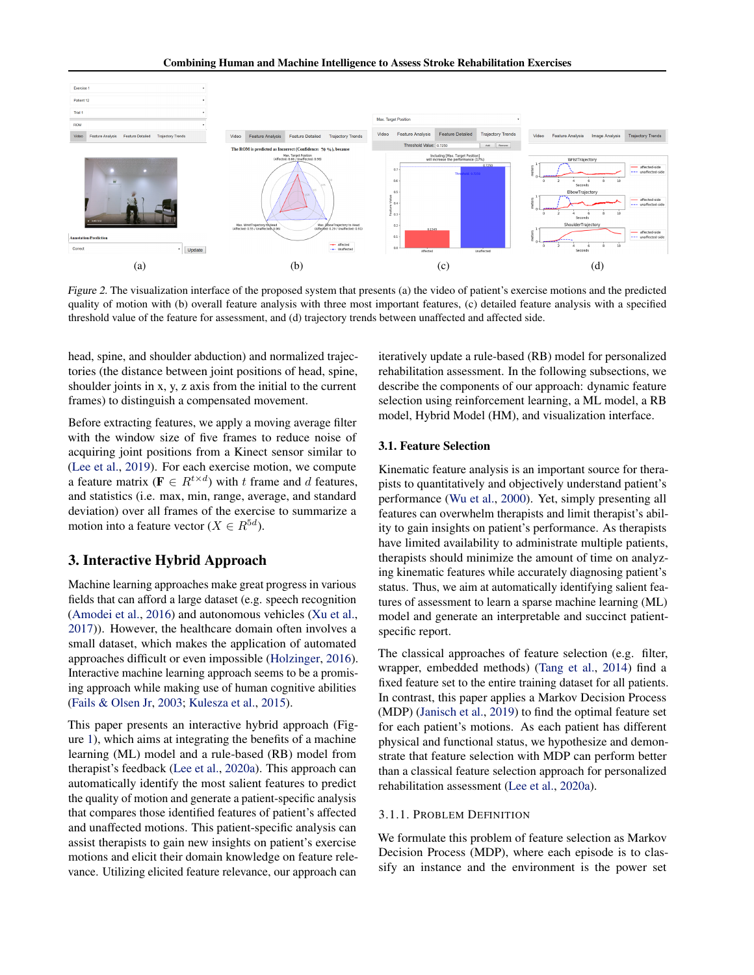<span id="page-2-0"></span>

Figure 2. The visualization interface of the proposed system that presents (a) the video of patient's exercise motions and the predicted quality of motion with (b) overall feature analysis with three most important features, (c) detailed feature analysis with a specified threshold value of the feature for assessment, and (d) trajectory trends between unaffected and affected side.

head, spine, and shoulder abduction) and normalized trajectories (the distance between joint positions of head, spine, shoulder joints in x, y, z axis from the initial to the current frames) to distinguish a compensated movement.

Before extracting features, we apply a moving average filter with the window size of five frames to reduce noise of acquiring joint positions from a Kinect sensor similar to [\(Lee et al.,](#page-8-0) [2019\)](#page-8-0). For each exercise motion, we compute a feature matrix ( $\mathbf{F} \in R^{t \times d}$ ) with t frame and d features, and statistics (i.e. max, min, range, average, and standard deviation) over all frames of the exercise to summarize a motion into a feature vector ( $X \in R^{5d}$ ).

## 3. Interactive Hybrid Approach

Machine learning approaches make great progress in various fields that can afford a large dataset (e.g. speech recognition [\(Amodei et al.,](#page-7-0) [2016\)](#page-7-0) and autonomous vehicles [\(Xu et al.,](#page-8-0) [2017\)](#page-8-0)). However, the healthcare domain often involves a small dataset, which makes the application of automated approaches difficult or even impossible [\(Holzinger,](#page-7-0) [2016\)](#page-7-0). Interactive machine learning approach seems to be a promising approach while making use of human cognitive abilities [\(Fails & Olsen Jr,](#page-7-0) [2003;](#page-7-0) [Kulesza et al.,](#page-8-0) [2015\)](#page-8-0).

This paper presents an interactive hybrid approach (Figure [1\)](#page-1-0), which aims at integrating the benefits of a machine learning (ML) model and a rule-based (RB) model from therapist's feedback [\(Lee et al.,](#page-8-0) [2020a\)](#page-8-0). This approach can automatically identify the most salient features to predict the quality of motion and generate a patient-specific analysis that compares those identified features of patient's affected and unaffected motions. This patient-specific analysis can assist therapists to gain new insights on patient's exercise motions and elicit their domain knowledge on feature relevance. Utilizing elicited feature relevance, our approach can iteratively update a rule-based (RB) model for personalized rehabilitation assessment. In the following subsections, we describe the components of our approach: dynamic feature selection using reinforcement learning, a ML model, a RB model, Hybrid Model (HM), and visualization interface.

### 3.1. Feature Selection

Kinematic feature analysis is an important source for therapists to quantitatively and objectively understand patient's performance [\(Wu et al.,](#page-8-0) [2000\)](#page-8-0). Yet, simply presenting all features can overwhelm therapists and limit therapist's ability to gain insights on patient's performance. As therapists have limited availability to administrate multiple patients, therapists should minimize the amount of time on analyzing kinematic features while accurately diagnosing patient's status. Thus, we aim at automatically identifying salient features of assessment to learn a sparse machine learning (ML) model and generate an interpretable and succinct patientspecific report.

The classical approaches of feature selection (e.g. filter, wrapper, embedded methods) [\(Tang et al.,](#page-8-0) [2014\)](#page-8-0) find a fixed feature set to the entire training dataset for all patients. In contrast, this paper applies a Markov Decision Process (MDP) [\(Janisch et al.,](#page-7-0) [2019\)](#page-7-0) to find the optimal feature set for each patient's motions. As each patient has different physical and functional status, we hypothesize and demonstrate that feature selection with MDP can perform better than a classical feature selection approach for personalized rehabilitation assessment [\(Lee et al.,](#page-8-0) [2020a\)](#page-8-0).

#### 3.1.1. PROBLEM DEFINITION

We formulate this problem of feature selection as Markov Decision Process (MDP), where each episode is to classify an instance and the environment is the power set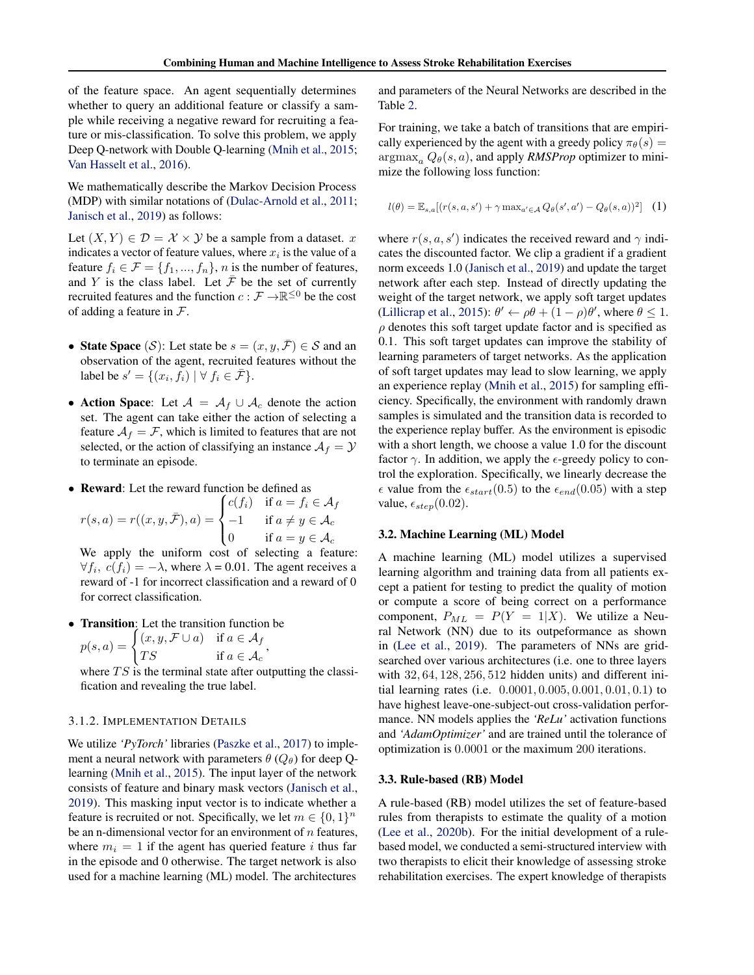of the feature space. An agent sequentially determines whether to query an additional feature or classify a sample while receiving a negative reward for recruiting a feature or mis-classification. To solve this problem, we apply Deep Q-network with Double Q-learning [\(Mnih et al.,](#page-8-0) [2015;](#page-8-0) [Van Hasselt et al.,](#page-8-0) [2016\)](#page-8-0).

We mathematically describe the Markov Decision Process (MDP) with similar notations of [\(Dulac-Arnold et al.,](#page-7-0) [2011;](#page-7-0) [Janisch et al.,](#page-7-0) [2019\)](#page-7-0) as follows:

Let  $(X, Y) \in \mathcal{D} = \mathcal{X} \times \mathcal{Y}$  be a sample from a dataset. x indicates a vector of feature values, where  $x_i$  is the value of a feature  $f_i \in \mathcal{F} = \{f_1, ..., f_n\}$ , *n* is the number of features, and Y is the class label. Let  $\bar{\mathcal{F}}$  be the set of currently recruited features and the function  $c : \mathcal{F} \to \mathbb{R}^{\leq 0}$  be the cost of adding a feature in  $\mathcal{F}$ .

- State Space (S): Let state be  $s = (x, y, \overline{\mathcal{F}}) \in \mathcal{S}$  and an observation of the agent, recruited features without the label be  $s' = \{ (x_i, f_i) \mid \forall f_i \in \bar{\mathcal{F}} \}.$
- Action Space: Let  $\mathcal{A} = \mathcal{A}_f \cup \mathcal{A}_c$  denote the action set. The agent can take either the action of selecting a feature  $A_f = \mathcal{F}$ , which is limited to features that are not selected, or the action of classifying an instance  $A_f = Y$ to terminate an episode.
- Reward: Let the reward function be defined as

$$
r(s, a) = r((x, y, \bar{\mathcal{F}}), a) = \begin{cases} c(f_i) & \text{if } a = f_i \in \mathcal{A}_f \\ -1 & \text{if } a \neq y \in \mathcal{A}_c \\ 0 & \text{if } a = y \in \mathcal{A}_c \end{cases}
$$

We apply the uniform cost of selecting a feature:  $\forall f_i, c(f_i) = -\lambda$ , where  $\lambda = 0.01$ . The agent receives a reward of -1 for incorrect classification and a reward of 0 for correct classification.

• Transition: Let the transition function be  $p(s, a) = \begin{cases} (x, y, \mathcal{F} \cup a) & \text{if } a \in \mathcal{A}_f \\ \pi \, \alpha & \text{if } a \end{cases}$ TS if  $a \in A_c$ ,

where  $TS$  is the terminal state after outputting the classification and revealing the true label.

#### 3.1.2. IMPLEMENTATION DETAILS

We utilize *'PyTorch'* libraries [\(Paszke et al.,](#page-8-0) [2017\)](#page-8-0) to implement a neural network with parameters  $\theta$  ( $Q_{\theta}$ ) for deep Qlearning [\(Mnih et al.,](#page-8-0) [2015\)](#page-8-0). The input layer of the network consists of feature and binary mask vectors [\(Janisch et al.,](#page-7-0) [2019\)](#page-7-0). This masking input vector is to indicate whether a feature is recruited or not. Specifically, we let  $m \in \{0, 1\}^n$ be an n-dimensional vector for an environment of  $n$  features, where  $m_i = 1$  if the agent has queried feature i thus far in the episode and 0 otherwise. The target network is also used for a machine learning (ML) model. The architectures

and parameters of the Neural Networks are described in the Table [2.](#page-7-0)

For training, we take a batch of transitions that are empirically experienced by the agent with a greedy policy  $\pi_{\theta}(s)$  =  $\argmax_a Q_\theta(s, a)$ , and apply *RMSProp* optimizer to minimize the following loss function:

$$
l(\theta) = \mathbb{E}_{s,a}[(r(s, a, s') + \gamma \max_{a' \in \mathcal{A}} Q_{\theta}(s', a') - Q_{\theta}(s, a))^2]
$$
 (1)

where  $r(s, a, s')$  indicates the received reward and  $\gamma$  indicates the discounted factor. We clip a gradient if a gradient norm exceeds 1.0 [\(Janisch et al.,](#page-7-0) [2019\)](#page-7-0) and update the target network after each step. Instead of directly updating the weight of the target network, we apply soft target updates [\(Lillicrap et al.,](#page-8-0) [2015\)](#page-8-0):  $\theta' \leftarrow \rho \theta + (1 - \rho) \theta'$ , where  $\theta \le 1$ .  $\rho$  denotes this soft target update factor and is specified as 0.1. This soft target updates can improve the stability of learning parameters of target networks. As the application of soft target updates may lead to slow learning, we apply an experience replay [\(Mnih et al.,](#page-8-0) [2015\)](#page-8-0) for sampling efficiency. Specifically, the environment with randomly drawn samples is simulated and the transition data is recorded to the experience replay buffer. As the environment is episodic with a short length, we choose a value 1.0 for the discount factor  $\gamma$ . In addition, we apply the  $\epsilon$ -greedy policy to control the exploration. Specifically, we linearly decrease the  $\epsilon$  value from the  $\epsilon_{start}(0.5)$  to the  $\epsilon_{end}(0.05)$  with a step value,  $\epsilon_{step}(0.02)$ .

#### 3.2. Machine Learning (ML) Model

A machine learning (ML) model utilizes a supervised learning algorithm and training data from all patients except a patient for testing to predict the quality of motion or compute a score of being correct on a performance component,  $P_{ML} = P(Y = 1|X)$ . We utilize a Neural Network (NN) due to its outpeformance as shown in [\(Lee et al.,](#page-8-0) [2019\)](#page-8-0). The parameters of NNs are gridsearched over various architectures (i.e. one to three layers with 32, 64, 128, 256, 512 hidden units) and different initial learning rates (i.e. 0.0001, 0.005, 0.001, 0.01, 0.1) to have highest leave-one-subject-out cross-validation performance. NN models applies the *'ReLu'* activation functions and *'AdamOptimizer'* and are trained until the tolerance of optimization is 0.0001 or the maximum 200 iterations.

#### 3.3. Rule-based (RB) Model

A rule-based (RB) model utilizes the set of feature-based rules from therapists to estimate the quality of a motion [\(Lee et al.,](#page-8-0) [2020b\)](#page-8-0). For the initial development of a rulebased model, we conducted a semi-structured interview with two therapists to elicit their knowledge of assessing stroke rehabilitation exercises. The expert knowledge of therapists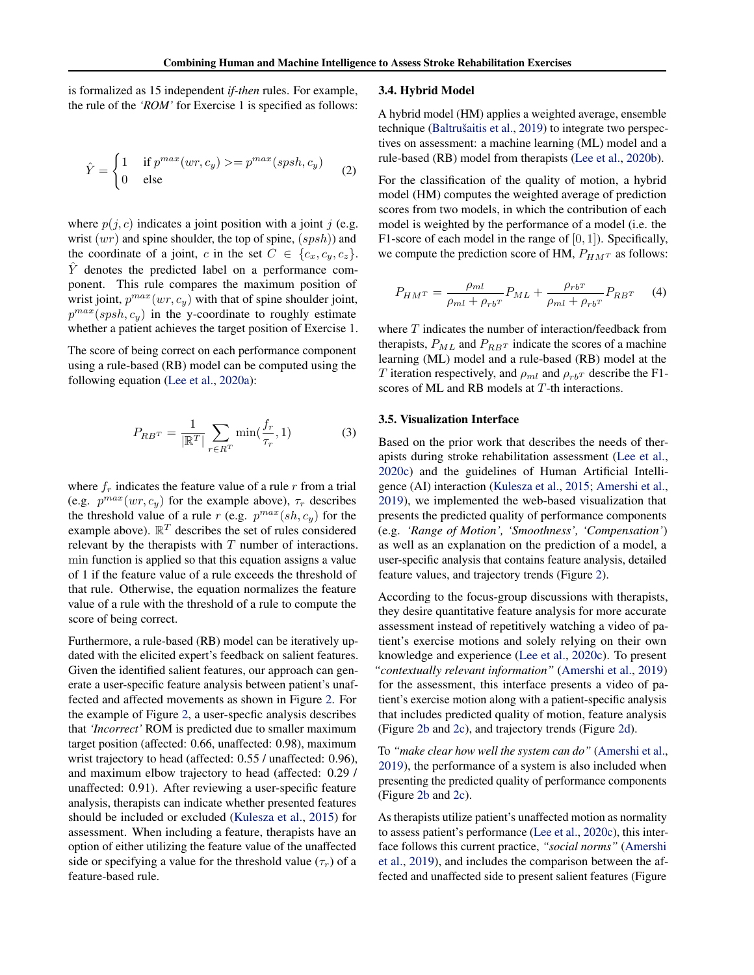is formalized as 15 independent *if-then* rules. For example, the rule of the *'ROM'* for Exercise 1 is specified as follows:

$$
\hat{Y} = \begin{cases}\n1 & \text{if } p^{max}(wr, c_y) >= p^{max}(spsh, c_y) \\
0 & \text{else}\n\end{cases}
$$
\n(2)

where  $p(j, c)$  indicates a joint position with a joint j (e.g. wrist  $(wr)$  and spine shoulder, the top of spine,  $(spsh)$  and the coordinate of a joint, c in the set  $C \in \{c_x, c_y, c_z\}.$  $\hat{Y}$  denotes the predicted label on a performance component. This rule compares the maximum position of wrist joint,  $p^{max}(wr, c_y)$  with that of spine shoulder joint,  $p^{max}(spsh, c_y)$  in the y-coordinate to roughly estimate whether a patient achieves the target position of Exercise 1.

The score of being correct on each performance component using a rule-based (RB) model can be computed using the following equation [\(Lee et al.,](#page-8-0) [2020a\)](#page-8-0):

$$
P_{RB^T} = \frac{1}{|\mathbb{R}^T|} \sum_{r \in R^T} \min(\frac{f_r}{\tau_r}, 1)
$$
 (3)

where  $f_r$  indicates the feature value of a rule r from a trial (e.g.  $p^{max}(wr, c_y)$  for the example above),  $\tau_r$  describes the threshold value of a rule r (e.g.  $p^{max}(sh, c_y)$  for the example above).  $\mathbb{R}^T$  describes the set of rules considered relevant by the therapists with T number of interactions. min function is applied so that this equation assigns a value of 1 if the feature value of a rule exceeds the threshold of that rule. Otherwise, the equation normalizes the feature value of a rule with the threshold of a rule to compute the score of being correct.

Furthermore, a rule-based (RB) model can be iteratively updated with the elicited expert's feedback on salient features. Given the identified salient features, our approach can generate a user-specific feature analysis between patient's unaffected and affected movements as shown in Figure [2.](#page-2-0) For the example of Figure [2,](#page-2-0) a user-specfic analysis describes that *'Incorrect'* ROM is predicted due to smaller maximum target position (affected: 0.66, unaffected: 0.98), maximum wrist trajectory to head (affected: 0.55 / unaffected: 0.96), and maximum elbow trajectory to head (affected: 0.29 / unaffected: 0.91). After reviewing a user-specific feature analysis, therapists can indicate whether presented features should be included or excluded [\(Kulesza et al.,](#page-8-0) [2015\)](#page-8-0) for assessment. When including a feature, therapists have an option of either utilizing the feature value of the unaffected side or specifying a value for the threshold value  $(\tau_r)$  of a feature-based rule.

#### 3.4. Hybrid Model

A hybrid model (HM) applies a weighted average, ensemble technique (Baltrušaitis et al., [2019\)](#page-7-0) to integrate two perspectives on assessment: a machine learning (ML) model and a rule-based (RB) model from therapists [\(Lee et al.,](#page-8-0) [2020b\)](#page-8-0).

For the classification of the quality of motion, a hybrid model (HM) computes the weighted average of prediction scores from two models, in which the contribution of each model is weighted by the performance of a model (i.e. the F1-score of each model in the range of  $[0, 1]$ ). Specifically, we compute the prediction score of HM,  $P_{HMT}$  as follows:

$$
P_{H M^T} = \frac{\rho_{ml}}{\rho_{ml} + \rho_{rb}r} P_{ML} + \frac{\rho_{rb}r}{\rho_{ml} + \rho_{rb}r} P_{RB^T}
$$
 (4)

where T indicates the number of interaction/feedback from therapists,  $P_{ML}$  and  $P_{RBT}$  indicate the scores of a machine learning (ML) model and a rule-based (RB) model at the T iteration respectively, and  $\rho_{ml}$  and  $\rho_{rbT}$  describe the F1scores of ML and RB models at T-th interactions.

#### 3.5. Visualization Interface

Based on the prior work that describes the needs of therapists during stroke rehabilitation assessment [\(Lee et al.,](#page-8-0) [2020c\)](#page-8-0) and the guidelines of Human Artificial Intelligence (AI) interaction [\(Kulesza et al.,](#page-8-0) [2015;](#page-8-0) [Amershi et al.,](#page-7-0) [2019\)](#page-7-0), we implemented the web-based visualization that presents the predicted quality of performance components (e.g. *'Range of Motion', 'Smoothness', 'Compensation'*) as well as an explanation on the prediction of a model, a user-specific analysis that contains feature analysis, detailed feature values, and trajectory trends (Figure [2\)](#page-2-0).

According to the focus-group discussions with therapists, they desire quantitative feature analysis for more accurate assessment instead of repetitively watching a video of patient's exercise motions and solely relying on their own knowledge and experience [\(Lee et al.,](#page-8-0) [2020c\)](#page-8-0). To present *"contextually relevant information"* [\(Amershi et al.,](#page-7-0) [2019\)](#page-7-0) for the assessment, this interface presents a video of patient's exercise motion along with a patient-specific analysis that includes predicted quality of motion, feature analysis (Figure [2b](#page-2-0) and [2c\)](#page-2-0), and trajectory trends (Figure [2d\)](#page-2-0).

To *"make clear how well the system can do"* [\(Amershi et al.,](#page-7-0) [2019\)](#page-7-0), the performance of a system is also included when presenting the predicted quality of performance components (Figure [2b](#page-2-0) and [2c\)](#page-2-0).

As therapists utilize patient's unaffected motion as normality to assess patient's performance [\(Lee et al.,](#page-8-0) [2020c\)](#page-8-0), this interface follows this current practice, *"social norms"* [\(Amershi](#page-7-0) [et al.,](#page-7-0) [2019\)](#page-7-0), and includes the comparison between the affected and unaffected side to present salient features (Figure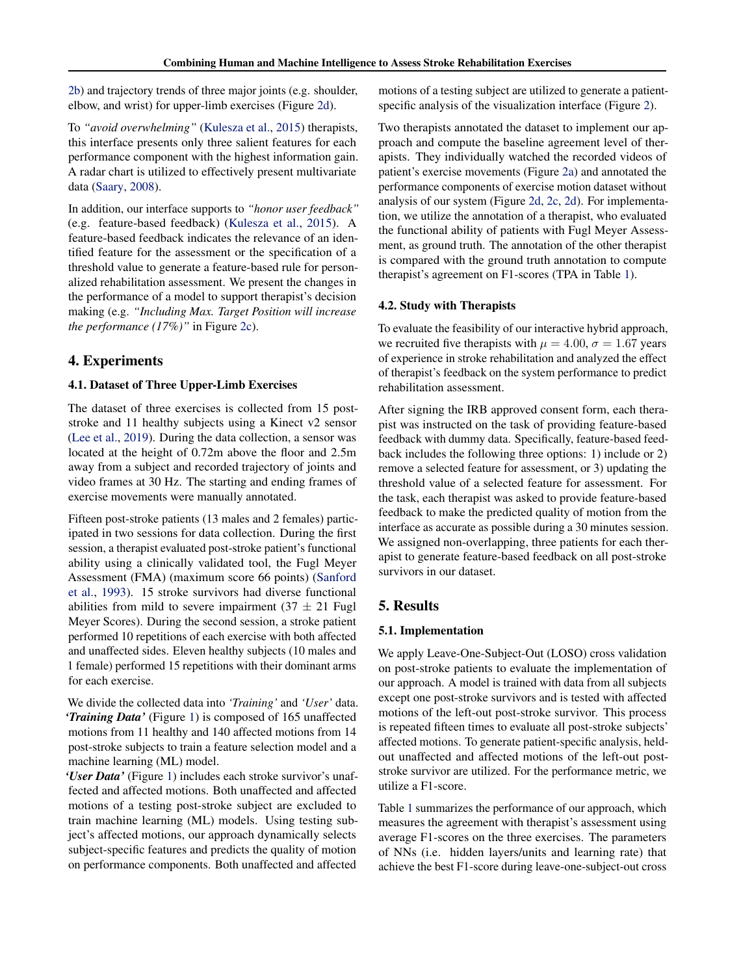[2b\)](#page-2-0) and trajectory trends of three major joints (e.g. shoulder, elbow, and wrist) for upper-limb exercises (Figure [2d\)](#page-2-0).

To *"avoid overwhelming"* [\(Kulesza et al.,](#page-8-0) [2015\)](#page-8-0) therapists, this interface presents only three salient features for each performance component with the highest information gain. A radar chart is utilized to effectively present multivariate data [\(Saary,](#page-8-0) [2008\)](#page-8-0).

In addition, our interface supports to *"honor user feedback"* (e.g. feature-based feedback) [\(Kulesza et al.,](#page-8-0) [2015\)](#page-8-0). A feature-based feedback indicates the relevance of an identified feature for the assessment or the specification of a threshold value to generate a feature-based rule for personalized rehabilitation assessment. We present the changes in the performance of a model to support therapist's decision making (e.g. *"Including Max. Target Position will increase the performance (17%)"* in Figure [2c\)](#page-2-0).

# 4. Experiments

## 4.1. Dataset of Three Upper-Limb Exercises

The dataset of three exercises is collected from 15 poststroke and 11 healthy subjects using a Kinect v2 sensor [\(Lee et al.,](#page-8-0) [2019\)](#page-8-0). During the data collection, a sensor was located at the height of 0.72m above the floor and 2.5m away from a subject and recorded trajectory of joints and video frames at 30 Hz. The starting and ending frames of exercise movements were manually annotated.

Fifteen post-stroke patients (13 males and 2 females) participated in two sessions for data collection. During the first session, a therapist evaluated post-stroke patient's functional ability using a clinically validated tool, the Fugl Meyer Assessment (FMA) (maximum score 66 points) [\(Sanford](#page-8-0) [et al.,](#page-8-0) [1993\)](#page-8-0). 15 stroke survivors had diverse functional abilities from mild to severe impairment  $(37 \pm 21 \text{ Fugl})$ Meyer Scores). During the second session, a stroke patient performed 10 repetitions of each exercise with both affected and unaffected sides. Eleven healthy subjects (10 males and 1 female) performed 15 repetitions with their dominant arms for each exercise.

We divide the collected data into *'Training'* and *'User'* data. *'Training Data'* (Figure [1\)](#page-1-0) is composed of 165 unaffected motions from 11 healthy and 140 affected motions from 14 post-stroke subjects to train a feature selection model and a machine learning (ML) model.

*'User Data'* (Figure [1\)](#page-1-0) includes each stroke survivor's unaffected and affected motions. Both unaffected and affected motions of a testing post-stroke subject are excluded to train machine learning (ML) models. Using testing subject's affected motions, our approach dynamically selects subject-specific features and predicts the quality of motion on performance components. Both unaffected and affected

motions of a testing subject are utilized to generate a patientspecific analysis of the visualization interface (Figure [2\)](#page-2-0).

Two therapists annotated the dataset to implement our approach and compute the baseline agreement level of therapists. They individually watched the recorded videos of patient's exercise movements (Figure [2a\)](#page-2-0) and annotated the performance components of exercise motion dataset without analysis of our system (Figure [2d,](#page-2-0) [2c,](#page-2-0) [2d\)](#page-2-0). For implementation, we utilize the annotation of a therapist, who evaluated the functional ability of patients with Fugl Meyer Assessment, as ground truth. The annotation of the other therapist is compared with the ground truth annotation to compute therapist's agreement on F1-scores (TPA in Table [1\)](#page-6-0).

#### 4.2. Study with Therapists

To evaluate the feasibility of our interactive hybrid approach, we recruited five therapists with  $\mu = 4.00$ ,  $\sigma = 1.67$  years of experience in stroke rehabilitation and analyzed the effect of therapist's feedback on the system performance to predict rehabilitation assessment.

After signing the IRB approved consent form, each therapist was instructed on the task of providing feature-based feedback with dummy data. Specifically, feature-based feedback includes the following three options: 1) include or 2) remove a selected feature for assessment, or 3) updating the threshold value of a selected feature for assessment. For the task, each therapist was asked to provide feature-based feedback to make the predicted quality of motion from the interface as accurate as possible during a 30 minutes session. We assigned non-overlapping, three patients for each therapist to generate feature-based feedback on all post-stroke survivors in our dataset.

# 5. Results

## 5.1. Implementation

We apply Leave-One-Subject-Out (LOSO) cross validation on post-stroke patients to evaluate the implementation of our approach. A model is trained with data from all subjects except one post-stroke survivors and is tested with affected motions of the left-out post-stroke survivor. This process is repeated fifteen times to evaluate all post-stroke subjects' affected motions. To generate patient-specific analysis, heldout unaffected and affected motions of the left-out poststroke survivor are utilized. For the performance metric, we utilize a F1-score.

Table [1](#page-6-0) summarizes the performance of our approach, which measures the agreement with therapist's assessment using average F1-scores on the three exercises. The parameters of NNs (i.e. hidden layers/units and learning rate) that achieve the best F1-score during leave-one-subject-out cross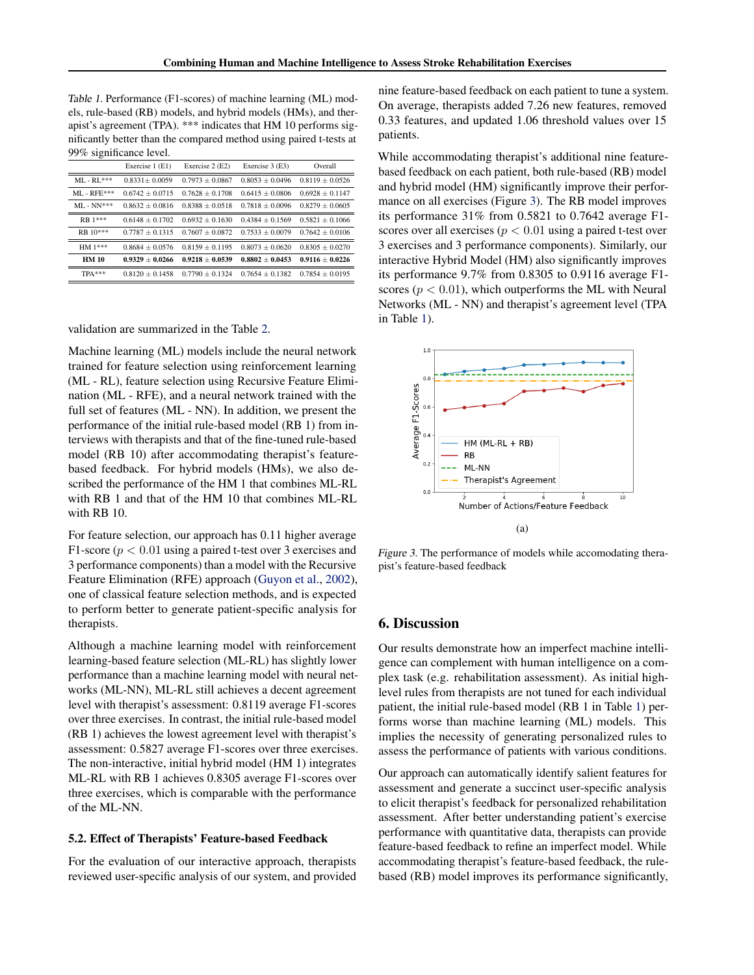<span id="page-6-0"></span>Table 1. Performance (F1-scores) of machine learning (ML) models, rule-based (RB) models, and hybrid models (HMs), and therapist's agreement (TPA). \*\*\* indicates that HM 10 performs significantly better than the compared method using paired t-tests at 99% significance level.

|               | Exercise 1 (E1)   | Exercise 2 (E2)   | Exercise 3 (E3)   | Overall             |
|---------------|-------------------|-------------------|-------------------|---------------------|
| $MI - RI$ *** | $0.8331 + 0.0059$ | $0.7973 + 0.0867$ | $0.8053 + 0.0496$ | $0.8119 + 0.0526$   |
| $MI - RFE***$ | $0.6742 + 0.0715$ | $0.7628 + 0.1708$ | $0.6415 + 0.0806$ | $0.6928 \pm 0.1147$ |
| $MI - NN***$  | $0.8632 + 0.0816$ | $0.8388 + 0.0518$ | $0.7818 + 0.0096$ | $0.8279 \pm 0.0605$ |
| RB 1***       | $0.6148 + 0.1702$ | $0.6932 + 0.1630$ | $0.4384 + 0.1569$ | $0.5821 + 0.1066$   |
| $RB$ 10***    | $0.7787 + 0.1315$ | $0.7607 + 0.0872$ | $0.7533 + 0.0079$ | $0.7642 + 0.0106$   |
| HM 1***       | $0.8684 + 0.0576$ | $0.8159 + 0.1195$ | $0.8073 + 0.0620$ | $0.8305 + 0.0270$   |
| <b>HM 10</b>  | $0.9329 + 0.0266$ | $0.9218 + 0.0539$ | $0.8802 + 0.0453$ | $0.9116 + 0.0226$   |
| $TPA***$      | $0.8120 + 0.1458$ | $0.7790 + 0.1324$ | $0.7654 + 0.1382$ | $0.7854 + 0.0195$   |
|               |                   |                   |                   |                     |

validation are summarized in the Table [2.](#page-7-0)

Machine learning (ML) models include the neural network trained for feature selection using reinforcement learning (ML - RL), feature selection using Recursive Feature Elimination (ML - RFE), and a neural network trained with the full set of features (ML - NN). In addition, we present the performance of the initial rule-based model (RB 1) from interviews with therapists and that of the fine-tuned rule-based model (RB 10) after accommodating therapist's featurebased feedback. For hybrid models (HMs), we also described the performance of the HM 1 that combines ML-RL with RB 1 and that of the HM 10 that combines ML-RL with RB 10.

For feature selection, our approach has 0.11 higher average F1-score ( $p < 0.01$  using a paired t-test over 3 exercises and 3 performance components) than a model with the Recursive Feature Elimination (RFE) approach [\(Guyon et al.,](#page-7-0) [2002\)](#page-7-0), one of classical feature selection methods, and is expected to perform better to generate patient-specific analysis for therapists.

Although a machine learning model with reinforcement learning-based feature selection (ML-RL) has slightly lower performance than a machine learning model with neural networks (ML-NN), ML-RL still achieves a decent agreement level with therapist's assessment: 0.8119 average F1-scores over three exercises. In contrast, the initial rule-based model (RB 1) achieves the lowest agreement level with therapist's assessment: 0.5827 average F1-scores over three exercises. The non-interactive, initial hybrid model (HM 1) integrates ML-RL with RB 1 achieves 0.8305 average F1-scores over three exercises, which is comparable with the performance of the ML-NN.

#### 5.2. Effect of Therapists' Feature-based Feedback

For the evaluation of our interactive approach, therapists reviewed user-specific analysis of our system, and provided nine feature-based feedback on each patient to tune a system. On average, therapists added 7.26 new features, removed 0.33 features, and updated 1.06 threshold values over 15 patients.

While accommodating therapist's additional nine featurebased feedback on each patient, both rule-based (RB) model and hybrid model (HM) significantly improve their performance on all exercises (Figure 3). The RB model improves its performance 31% from 0.5821 to 0.7642 average F1 scores over all exercises ( $p < 0.01$  using a paired t-test over 3 exercises and 3 performance components). Similarly, our interactive Hybrid Model (HM) also significantly improves its performance 9.7% from 0.8305 to 0.9116 average F1 scores ( $p < 0.01$ ), which outperforms the ML with Neural Networks (ML - NN) and therapist's agreement level (TPA in Table 1).



Figure 3. The performance of models while accomodating therapist's feature-based feedback

### 6. Discussion

Our results demonstrate how an imperfect machine intelligence can complement with human intelligence on a complex task (e.g. rehabilitation assessment). As initial highlevel rules from therapists are not tuned for each individual patient, the initial rule-based model (RB 1 in Table 1) performs worse than machine learning (ML) models. This implies the necessity of generating personalized rules to assess the performance of patients with various conditions.

Our approach can automatically identify salient features for assessment and generate a succinct user-specific analysis to elicit therapist's feedback for personalized rehabilitation assessment. After better understanding patient's exercise performance with quantitative data, therapists can provide feature-based feedback to refine an imperfect model. While accommodating therapist's feature-based feedback, the rulebased (RB) model improves its performance significantly,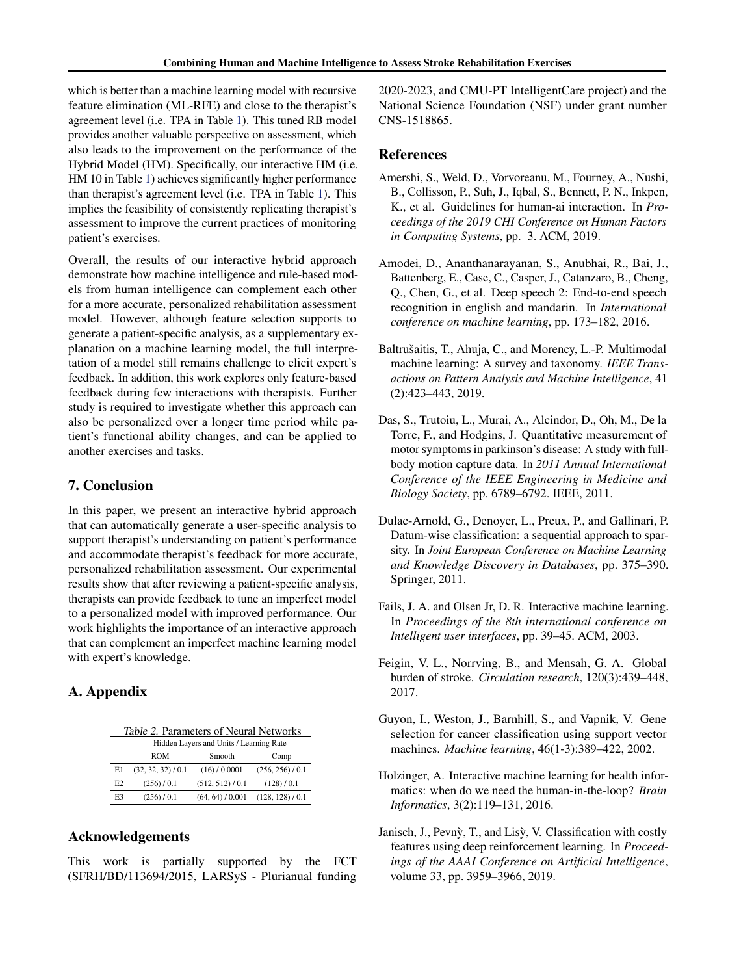<span id="page-7-0"></span>which is better than a machine learning model with recursive feature elimination (ML-RFE) and close to the therapist's agreement level (i.e. TPA in Table [1\)](#page-6-0). This tuned RB model provides another valuable perspective on assessment, which also leads to the improvement on the performance of the Hybrid Model (HM). Specifically, our interactive HM (i.e. HM 10 in Table [1\)](#page-6-0) achieves significantly higher performance than therapist's agreement level (i.e. TPA in Table [1\)](#page-6-0). This implies the feasibility of consistently replicating therapist's assessment to improve the current practices of monitoring patient's exercises.

Overall, the results of our interactive hybrid approach demonstrate how machine intelligence and rule-based models from human intelligence can complement each other for a more accurate, personalized rehabilitation assessment model. However, although feature selection supports to generate a patient-specific analysis, as a supplementary explanation on a machine learning model, the full interpretation of a model still remains challenge to elicit expert's feedback. In addition, this work explores only feature-based feedback during few interactions with therapists. Further study is required to investigate whether this approach can also be personalized over a longer time period while patient's functional ability changes, and can be applied to another exercises and tasks.

## 7. Conclusion

In this paper, we present an interactive hybrid approach that can automatically generate a user-specific analysis to support therapist's understanding on patient's performance and accommodate therapist's feedback for more accurate, personalized rehabilitation assessment. Our experimental results show that after reviewing a patient-specific analysis, therapists can provide feedback to tune an imperfect model to a personalized model with improved performance. Our work highlights the importance of an interactive approach that can complement an imperfect machine learning model with expert's knowledge.

# A. Appendix

Table 2. Parameters of Neural Networks

| Hidden Layers and Units / Learning Rate |                    |                  |                  |  |
|-----------------------------------------|--------------------|------------------|------------------|--|
|                                         | <b>ROM</b>         | Smooth           | Comp             |  |
| E1                                      | (32, 32, 32) / 0.1 | (16) / 0.0001    | (256, 256) / 0.1 |  |
| E2                                      | (256) / 0.1        | (512, 512) / 0.1 | (128)/0.1        |  |
| E3                                      | (256) / 0.1        | (64, 64) / 0.001 | (128, 128) / 0.1 |  |

## Acknowledgements

This work is partially supported by the FCT (SFRH/BD/113694/2015, LARSyS - Plurianual funding

2020-2023, and CMU-PT IntelligentCare project) and the National Science Foundation (NSF) under grant number CNS-1518865.

## References

- Amershi, S., Weld, D., Vorvoreanu, M., Fourney, A., Nushi, B., Collisson, P., Suh, J., Iqbal, S., Bennett, P. N., Inkpen, K., et al. Guidelines for human-ai interaction. In *Proceedings of the 2019 CHI Conference on Human Factors in Computing Systems*, pp. 3. ACM, 2019.
- Amodei, D., Ananthanarayanan, S., Anubhai, R., Bai, J., Battenberg, E., Case, C., Casper, J., Catanzaro, B., Cheng, Q., Chen, G., et al. Deep speech 2: End-to-end speech recognition in english and mandarin. In *International conference on machine learning*, pp. 173–182, 2016.
- Baltrušaitis, T., Ahuja, C., and Morency, L.-P. Multimodal machine learning: A survey and taxonomy. *IEEE Transactions on Pattern Analysis and Machine Intelligence*, 41 (2):423–443, 2019.
- Das, S., Trutoiu, L., Murai, A., Alcindor, D., Oh, M., De la Torre, F., and Hodgins, J. Quantitative measurement of motor symptoms in parkinson's disease: A study with fullbody motion capture data. In *2011 Annual International Conference of the IEEE Engineering in Medicine and Biology Society*, pp. 6789–6792. IEEE, 2011.
- Dulac-Arnold, G., Denoyer, L., Preux, P., and Gallinari, P. Datum-wise classification: a sequential approach to sparsity. In *Joint European Conference on Machine Learning and Knowledge Discovery in Databases*, pp. 375–390. Springer, 2011.
- Fails, J. A. and Olsen Jr, D. R. Interactive machine learning. In *Proceedings of the 8th international conference on Intelligent user interfaces*, pp. 39–45. ACM, 2003.
- Feigin, V. L., Norrving, B., and Mensah, G. A. Global burden of stroke. *Circulation research*, 120(3):439–448, 2017.
- Guyon, I., Weston, J., Barnhill, S., and Vapnik, V. Gene selection for cancer classification using support vector machines. *Machine learning*, 46(1-3):389–422, 2002.
- Holzinger, A. Interactive machine learning for health informatics: when do we need the human-in-the-loop? *Brain Informatics*, 3(2):119–131, 2016.
- Janisch, J., Pevnỳ, T., and Lisỳ, V. Classification with costly features using deep reinforcement learning. In *Proceedings of the AAAI Conference on Artificial Intelligence*, volume 33, pp. 3959–3966, 2019.